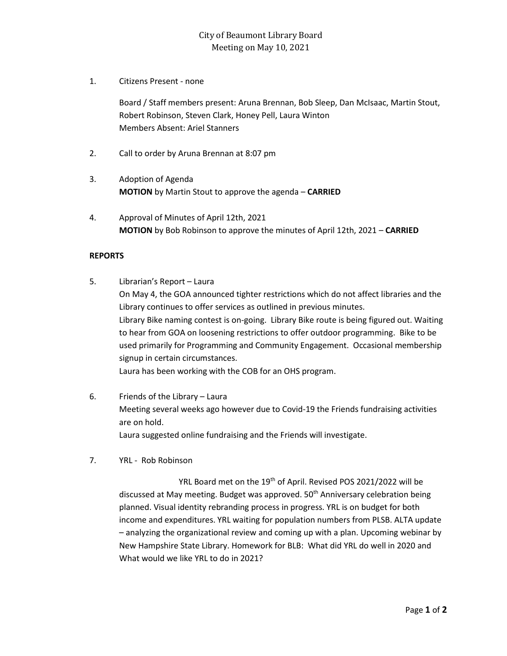1. Citizens Present - none

Board / Staff members present: Aruna Brennan, Bob Sleep, Dan McIsaac, Martin Stout, Robert Robinson, Steven Clark, Honey Pell, Laura Winton Members Absent: Ariel Stanners

- 2. Call to order by Aruna Brennan at 8:07 pm
- 3. Adoption of Agenda **MOTION** by Martin Stout to approve the agenda – **CARRIED**
- 4. Approval of Minutes of April 12th, 2021 **MOTION** by Bob Robinson to approve the minutes of April 12th, 2021 – **CARRIED**

## **REPORTS**

- 5. Librarian's Report Laura On May 4, the GOA announced tighter restrictions which do not affect libraries and the Library continues to offer services as outlined in previous minutes. Library Bike naming contest is on-going. Library Bike route is being figured out. Waiting to hear from GOA on loosening restrictions to offer outdoor programming. Bike to be used primarily for Programming and Community Engagement. Occasional membership signup in certain circumstances. Laura has been working with the COB for an OHS program.
- 6. Friends of the Library Laura Meeting several weeks ago however due to Covid-19 the Friends fundraising activities are on hold. Laura suggested online fundraising and the Friends will investigate.
- 7. YRL Rob Robinson

YRL Board met on the 19<sup>th</sup> of April. Revised POS 2021/2022 will be discussed at May meeting. Budget was approved. 50<sup>th</sup> Anniversary celebration being planned. Visual identity rebranding process in progress. YRL is on budget for both income and expenditures. YRL waiting for population numbers from PLSB. ALTA update – analyzing the organizational review and coming up with a plan. Upcoming webinar by New Hampshire State Library. Homework for BLB: What did YRL do well in 2020 and What would we like YRL to do in 2021?